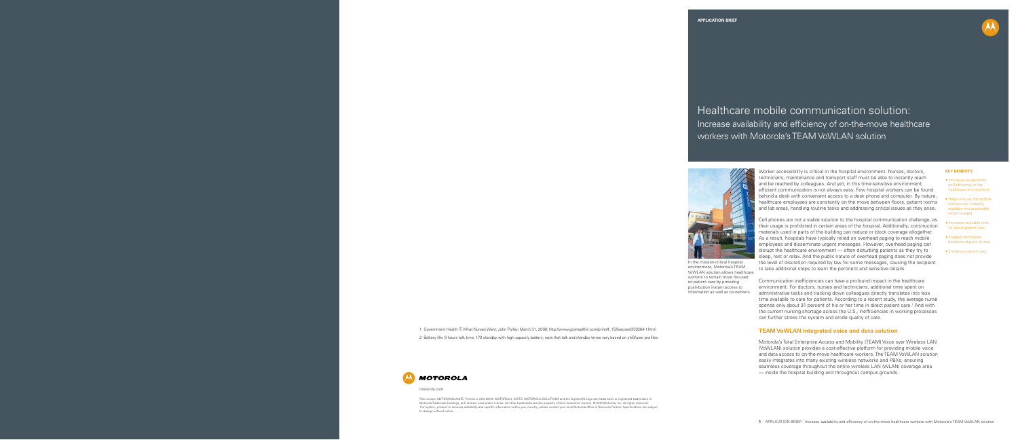

Worker accessibility is critical in the hospital environment. Nurses, doctors, technicians, maintenance and transport staff must be able to instantly reach and be reached by colleagues. And yet, in this time-sensitive environment, efficient communication is not always easy. Few hospital workers can be found behind a desk with convenient access to a desk phone and computer. By nature, healthcare employees are constantly on the move between floors, patient rooms and lab areas, handling routine tasks and addressing critical issues as they arise.

Cell phones are not a viable solution to the hospital communication challenge, as their usage is prohibited in certain areas of the hospital. Additionally, construction materials used in parts of the building can reduce or block coverage altogether. As a result, hospitals have typically relied on overhead paging to reach mobile employees and disseminate urgent messages. However, overhead paging can disrupt the healthcare environment — often disturbing patients as they try to sleep, rest or relax. And the public nature of overhead paging does not provide the level of discretion required by law for some messages, causing the recipient to take additional steps to learn the pertinent and sensitive details.

Communication inefficiencies can have a profound impact in the healthcare environment. For doctors, nurses and technicians, additional time spent on administrative tasks and tracking down colleagues directly translates into less time available to care for patients. According to a recent study, the average nurse spends only about 31 percent of his or her time in direct patient care.<sup>1</sup> And with the current nursing shortage across the U.S., inefficiencies in working processes can further stress the system and erode quality of care.

Part number AB-TMVOWLANHC. Printed in USA 09/10. MOTOROLA, MOTO, MOTOROLA SOLUTIONS and the Stylized M Logo are trademarks or registered trademarks of Motorola Trademark Holdings, LLC and are used under license. All other trademarks are the property of their respective owners. © 2010 Motorola, Inc. All rights reserved. For system, product or services availability and specific information within your country, please contact your local Motorola office or Business Partner. Specifications are subject

## **TEAM VoWLAN integrated voice and data solution**

Motorola's Total Enterprise Access and Mobility (TEAM) Voice over Wireless LAN (VoWLAN) solution provides a cost-effective platform for providing mobile voice and data access to on-the-move healthcare workers. The TEAM VoWLAN solution easily integrates into many existing wireless networks and PBXs, ensuring seamless coverage throughout the entire wireless LAN (WLAN) coverage area — inside the hospital building and throughout campus grounds.



Healthcare mobile communication solution: Increase availability and efficiency of on-the-move healthcare workers with Motorola's TEAM VoWLAN solution



motorola.com

to change without notice.

#### **KEY BENEFITS**

• Increases productivity and efficiency in the healthcare environment

• Helps ensure that mobile workers are instantly available and accessible when needed

• Increases available time for direct patient care

• Enables immediate decisions at point of care

• Enhances patient care



In the mission-critical hospital environment, Motorola's TEAM VoWLAN solution allows healthcare workers to remain more focused on patient care by providing push-button instant access to information as well as co-workers.

1 Government Health IT; What Nurses Want; John Pulley; March 31, 2008; http://www.govhealthit.com/print/4\_15/features/350264-1.html 2 Battery life: 9 hours talk time; 170 standby with high capacity battery; note that talk and standby times vary based on shift/user profiles.